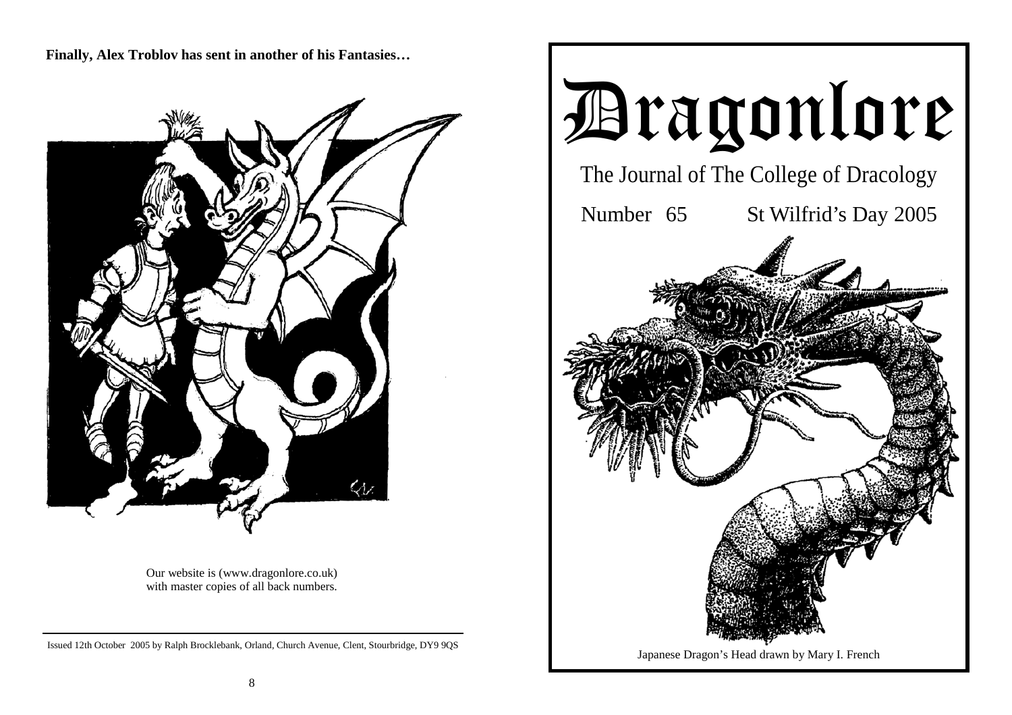**Finally, Alex Troblov has sent in another of his Fantasies…** 



Our website is (www.dragonlore.co.uk) with master copies of all back numbers.

Issued 12th October 2005 by Ralph Brocklebank, Orland, Church Avenue, Clent, Stourbridge, DY9 9QS

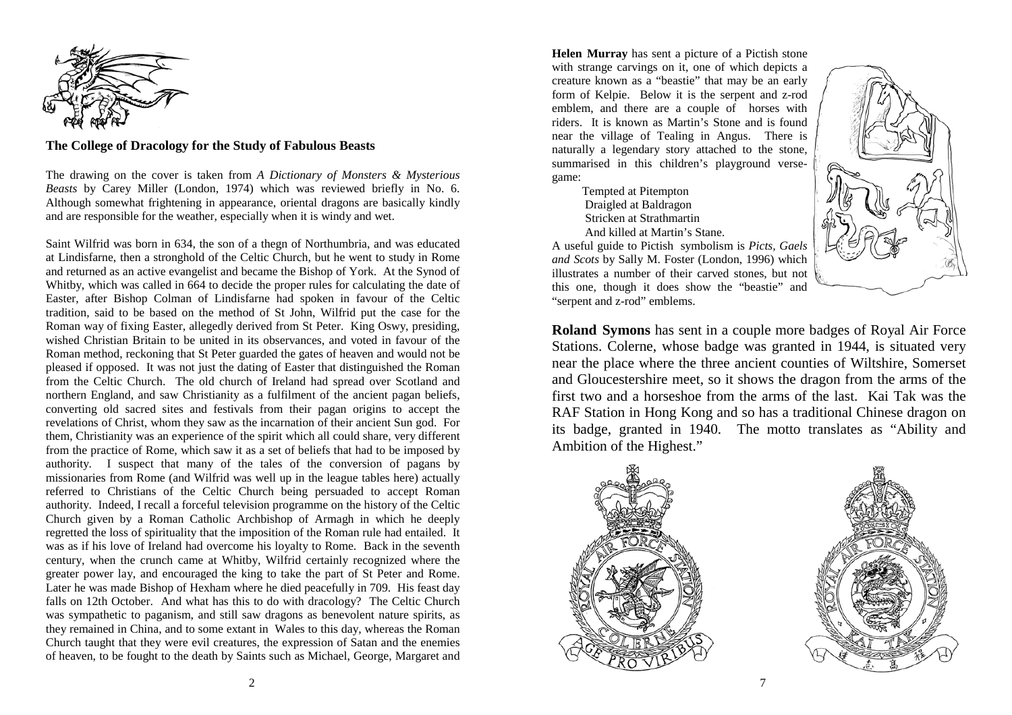

#### **The College of Dracology for the Study of Fabulous Beasts**

The drawing on the cover is taken from *A Dictionary of Monsters & Mysterious Beasts* by Carey Miller (London, 1974) which was reviewed briefly in No. 6. Although somewhat frightening in appearance, oriental dragons are basically kindly and are responsible for the weather, especially when it is windy and wet.

Saint Wilfrid was born in 634, the son of a thegn of Northumbria, and was educated at Lindisfarne, then a stronghold of the Celtic Church, but he went to study in Rome and returned as an active evangelist and became the Bishop of York. At the Synod of Whitby, which was called in 664 to decide the proper rules for calculating the date of Easter, after Bishop Colman of Lindisfarne had spoken in favour of the Celtic tradition, said to be based on the method of St John, Wilfrid put the case for the Roman way of fixing Easter, allegedly derived from St Peter. King Oswy, presiding, wished Christian Britain to be united in its observances, and voted in favour of the Roman method, reckoning that St Peter guarded the gates of heaven and would not be pleased if opposed. It was not just the dating of Easter that distinguished the Roman from the Celtic Church. The old church of Ireland had spread over Scotland and northern England, and saw Christianity as a fulfilment of the ancient pagan beliefs, converting old sacred sites and festivals from their pagan origins to accept the revelations of Christ, whom they saw as the incarnation of their ancient Sun god. For them, Christianity was an experience of the spirit which all could share, very different from the practice of Rome, which saw it as a set of beliefs that had to be imposed by authority. I suspect that many of the tales of the conversion of pagans by missionaries from Rome (and Wilfrid was well up in the league tables here) actually referred to Christians of the Celtic Church being persuaded to accept Roman authority. Indeed, I recall a forceful television programme on the history of the Celtic Church given by a Roman Catholic Archbishop of Armagh in which he deeply regretted the loss of spirituality that the imposition of the Roman rule had entailed. It was as if his love of Ireland had overcome his loyalty to Rome. Back in the seventh century, when the crunch came at Whitby, Wilfrid certainly recognized where the greater power lay, and encouraged the king to take the part of St Peter and Rome. Later he was made Bishop of Hexham where he died peacefully in 709. His feast day falls on 12th October. And what has this to do with dracology? The Celtic Church was sympathetic to paganism, and still saw dragons as benevolent nature spirits, as they remained in China, and to some extant in Wales to this day, whereas the Roman Church taught that they were evil creatures, the expression of Satan and the enemies of heaven, to be fought to the death by Saints such as Michael, George, Margaret and

**Helen Murray** has sent a picture of a Pictish stone with strange carvings on it, one of which depicts a creature known as a "beastie" that may be an early form of Kelpie. Below it is the serpent and z-rod emblem, and there are a couple of horses with riders. It is known as Martin's Stone and is found near the village of Tealing in Angus. There is naturally a legendary story attached to the stone, summarised in this children's playground versegame:

> Tempted at Pitempton Draigled at Baldragon Stricken at Strathmartin And killed at Martin's Stane.

A useful guide to Pictish symbolism is *Picts, Gaels and Scots* by Sally M. Foster (London, 1996) which illustrates a number of their carved stones, but not this one, though it does show the "beastie" and "serpent and z-rod" emblems.



**Roland Symons** has sent in a couple more badges of Royal Air Force Stations. Colerne, whose badge was granted in 1944, is situated very near the place where the three ancient counties of Wiltshire, Somerset and Gloucestershire meet, so it shows the dragon from the arms of the first two and a horseshoe from the arms of the last. Kai Tak was the RAF Station in Hong Kong and so has a traditional Chinese dragon on its badge, granted in 1940. The motto translates as "Ability and Ambition of the Highest."



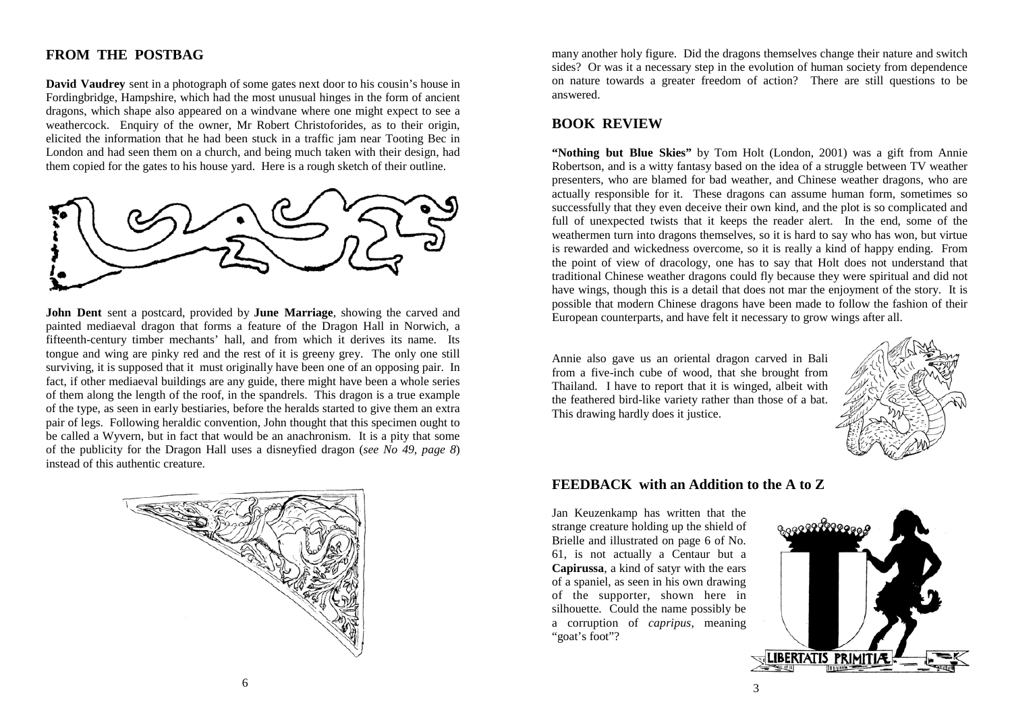# **FROM THE POSTBAG**

**David Vaudrey** sent in a photograph of some gates next door to his cousin's house in Fordingbridge, Hampshire, which had the most unusual hinges in the form of ancient dragons, which shape also appeared on a windvane where one might expect to see a weathercock. Enquiry of the owner, Mr Robert Christoforides, as to their origin, elicited the information that he had been stuck in a traffic jam near Tooting Bec in London and had seen them on a church, and being much taken with their design, had them copied for the gates to his house yard. Here is a rough sketch of their outline.



**John Dent** sent a postcard, provided by **June Marriage**, showing the carved and painted mediaeval dragon that forms a feature of the Dragon Hall in Norwich, a fifteenth-century timber mechants' hall, and from which it derives its name. Its tongue and wing are pinky red and the rest of it is greeny grey. The only one still surviving, it is supposed that it must originally have been one of an opposing pair. In fact, if other mediaeval buildings are any guide, there might have been a whole series of them along the length of the roof, in the spandrels. This dragon is a true example of the type, as seen in early bestiaries, before the heralds started to give them an extra pair of legs. Following heraldic convention, John thought that this specimen ought to be called a Wyvern, but in fact that would be an anachronism. It is a pity that some of the publicity for the Dragon Hall uses a disneyfied dragon (*see No 49, page 8*) instead of this authentic creature.



many another holy figure. Did the dragons themselves change their nature and switch sides? Or was it a necessary step in the evolution of human society from dependence on nature towards a greater freedom of action? There are still questions to be answered.

### **BOOK REVIEW**

**"Nothing but Blue Skies"** by Tom Holt (London, 2001) was a gift from Annie Robertson, and is a witty fantasy based on the idea of a struggle between TV weather presenters, who are blamed for bad weather, and Chinese weather dragons, who are actually responsible for it. These dragons can assume human form, sometimes so successfully that they even deceive their own kind, and the plot is so complicated and full of unexpected twists that it keeps the reader alert. In the end, some of the weathermen turn into dragons themselves, so it is hard to say who has won, but virtue is rewarded and wickedness overcome, so it is really a kind of happy ending. From the point of view of dracology, one has to say that Holt does not understand that traditional Chinese weather dragons could fly because they were spiritual and did not have wings, though this is a detail that does not mar the enjoyment of the story. It is possible that modern Chinese dragons have been made to follow the fashion of their European counterparts, and have felt it necessary to grow wings after all.

Annie also gave us an oriental dragon carved in Bali from a five-inch cube of wood, that she brought from Thailand. I have to report that it is winged, albeit with the feathered bird-like variety rather than those of a bat. This drawing hardly does it justice.



### **FEEDBACK with an Addition to the A to Z**

Jan Keuzenkamp has written that the strange creature holding up the shield of Brielle and illustrated on page 6 of No. 61, is not actually a Centaur but a **Capirussa**, a kind of satyr with the ears of a spaniel, as seen in his own drawing of the supporter, shown here in silhouette. Could the name possibly be a corruption of *capripus,* meaning "goat's foot"?